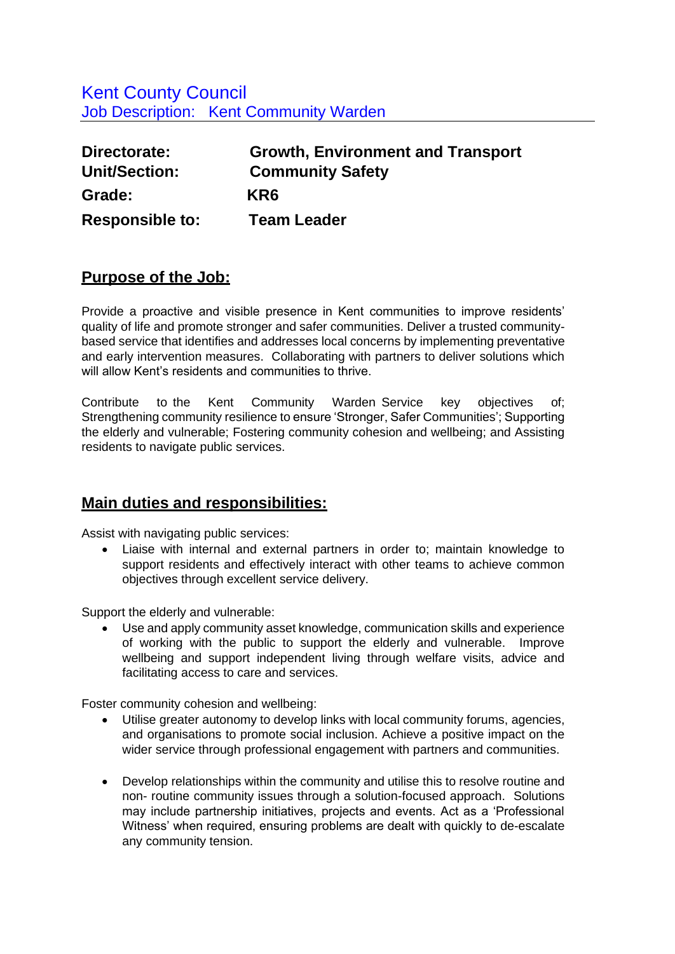## Kent County Council Job Description: Kent Community Warden

| Directorate:           | <b>Growth, Environment and Transport</b> |
|------------------------|------------------------------------------|
| Unit/Section:          | <b>Community Safety</b>                  |
| Grade:                 | KR <sub>6</sub>                          |
| <b>Responsible to:</b> | <b>Team Leader</b>                       |

### **Purpose of the Job:**

Provide a proactive and visible presence in Kent communities to improve residents' quality of life and promote stronger and safer communities. Deliver a trusted communitybased service that identifies and addresses local concerns by implementing preventative and early intervention measures. Collaborating with partners to deliver solutions which will allow Kent's residents and communities to thrive.

Contribute to the Kent Community Warden Service key objectives of; Strengthening community resilience to ensure 'Stronger, Safer Communities'; Supporting the elderly and vulnerable; Fostering community cohesion and wellbeing; and Assisting residents to navigate public services.

### **Main duties and responsibilities:**

Assist with navigating public services:

• Liaise with internal and external partners in order to; maintain knowledge to support residents and effectively interact with other teams to achieve common objectives through excellent service delivery.

Support the elderly and vulnerable:

• Use and apply community asset knowledge, communication skills and experience of working with the public to support the elderly and vulnerable. Improve wellbeing and support independent living through welfare visits, advice and facilitating access to care and services.

Foster community cohesion and wellbeing:

- Utilise greater autonomy to develop links with local community forums, agencies, and organisations to promote social inclusion. Achieve a positive impact on the wider service through professional engagement with partners and communities.
- Develop relationships within the community and utilise this to resolve routine and non- routine community issues through a solution-focused approach. Solutions may include partnership initiatives, projects and events. Act as a 'Professional Witness' when required, ensuring problems are dealt with quickly to de-escalate any community tension.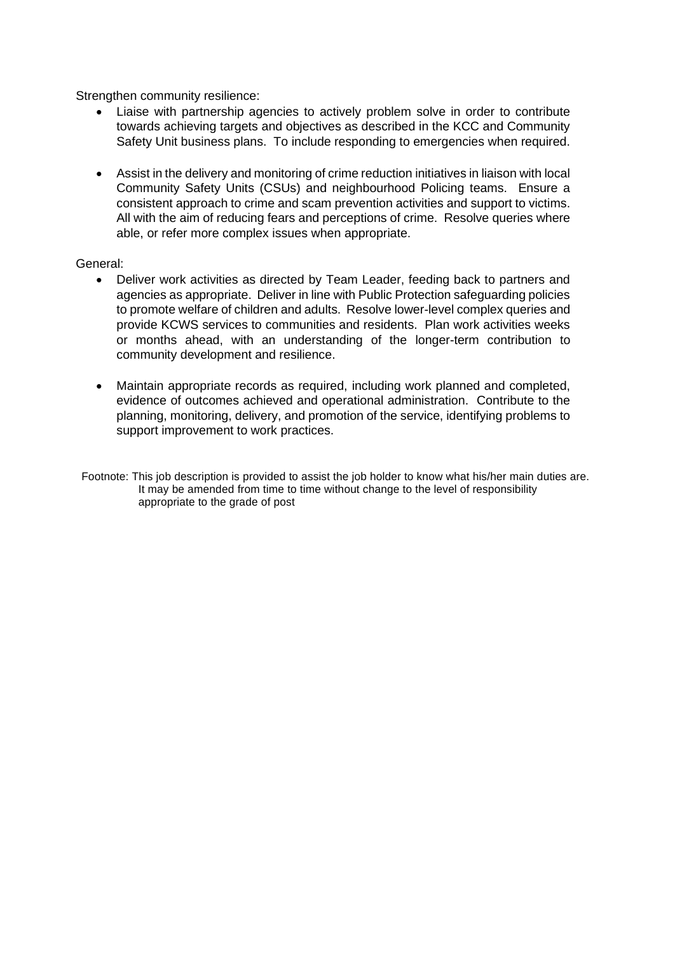Strengthen community resilience:

- Liaise with partnership agencies to actively problem solve in order to contribute towards achieving targets and objectives as described in the KCC and Community Safety Unit business plans. To include responding to emergencies when required.
- Assist in the delivery and monitoring of crime reduction initiatives in liaison with local Community Safety Units (CSUs) and neighbourhood Policing teams. Ensure a consistent approach to crime and scam prevention activities and support to victims. All with the aim of reducing fears and perceptions of crime. Resolve queries where able, or refer more complex issues when appropriate.

#### General:

- Deliver work activities as directed by Team Leader, feeding back to partners and agencies as appropriate. Deliver in line with Public Protection safeguarding policies to promote welfare of children and adults. Resolve lower-level complex queries and provide KCWS services to communities and residents. Plan work activities weeks or months ahead, with an understanding of the longer-term contribution to community development and resilience.
- Maintain appropriate records as required, including work planned and completed, evidence of outcomes achieved and operational administration. Contribute to the planning, monitoring, delivery, and promotion of the service, identifying problems to support improvement to work practices.
- Footnote: This job description is provided to assist the job holder to know what his/her main duties are. It may be amended from time to time without change to the level of responsibility appropriate to the grade of post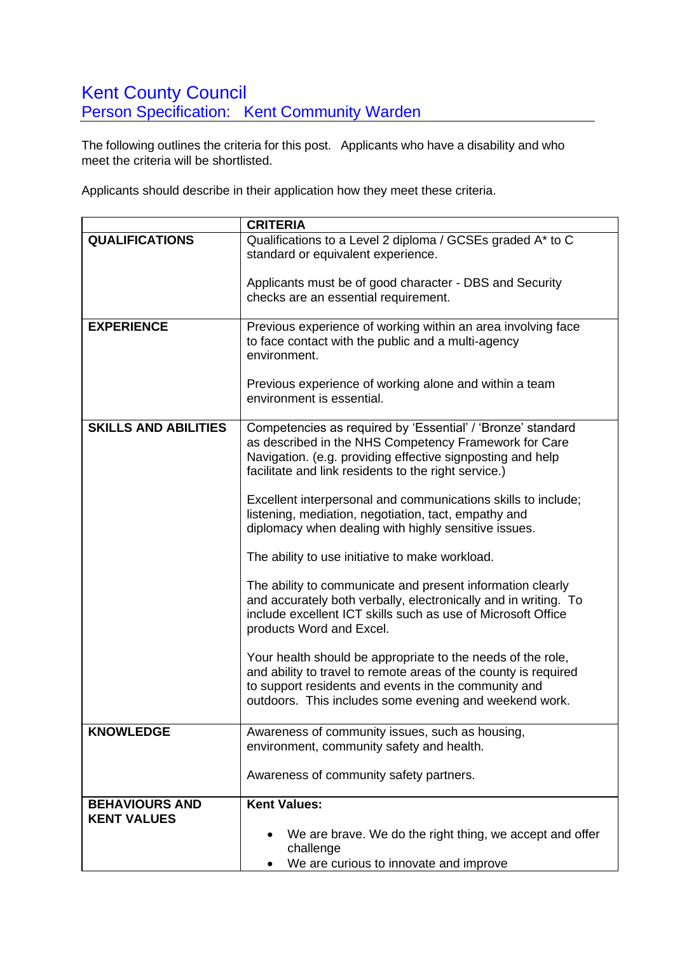## **Kent County Council** Person Specification: Kent Community Warden

The following outlines the criteria for this post. Applicants who have a disability and who meet the criteria will be shortlisted.

Applicants should describe in their application how they meet these criteria.

|                             | <b>CRITERIA</b>                                                                                                      |
|-----------------------------|----------------------------------------------------------------------------------------------------------------------|
| <b>QUALIFICATIONS</b>       | Qualifications to a Level 2 diploma / GCSEs graded A* to C                                                           |
|                             | standard or equivalent experience.                                                                                   |
|                             |                                                                                                                      |
|                             | Applicants must be of good character - DBS and Security                                                              |
|                             | checks are an essential requirement.                                                                                 |
|                             |                                                                                                                      |
| <b>EXPERIENCE</b>           | Previous experience of working within an area involving face                                                         |
|                             | to face contact with the public and a multi-agency                                                                   |
|                             | environment.                                                                                                         |
|                             |                                                                                                                      |
|                             | Previous experience of working alone and within a team<br>environment is essential.                                  |
|                             |                                                                                                                      |
| <b>SKILLS AND ABILITIES</b> | Competencies as required by 'Essential' / 'Bronze' standard                                                          |
|                             | as described in the NHS Competency Framework for Care                                                                |
|                             | Navigation. (e.g. providing effective signposting and help                                                           |
|                             | facilitate and link residents to the right service.)                                                                 |
|                             |                                                                                                                      |
|                             | Excellent interpersonal and communications skills to include;                                                        |
|                             | listening, mediation, negotiation, tact, empathy and                                                                 |
|                             | diplomacy when dealing with highly sensitive issues.                                                                 |
|                             |                                                                                                                      |
|                             | The ability to use initiative to make workload.                                                                      |
|                             | The ability to communicate and present information clearly                                                           |
|                             | and accurately both verbally, electronically and in writing. To                                                      |
|                             | include excellent ICT skills such as use of Microsoft Office                                                         |
|                             | products Word and Excel.                                                                                             |
|                             |                                                                                                                      |
|                             | Your health should be appropriate to the needs of the role,                                                          |
|                             | and ability to travel to remote areas of the county is required                                                      |
|                             | to support residents and events in the community and                                                                 |
|                             | outdoors. This includes some evening and weekend work.                                                               |
|                             |                                                                                                                      |
| <b>KNOWLEDGE</b>            | Awareness of community issues, such as housing,                                                                      |
|                             | environment, community safety and health.                                                                            |
|                             |                                                                                                                      |
|                             | Awareness of community safety partners.                                                                              |
| <b>BEHAVIOURS AND</b>       | <b>Kent Values:</b>                                                                                                  |
|                             |                                                                                                                      |
|                             |                                                                                                                      |
|                             |                                                                                                                      |
|                             |                                                                                                                      |
| <b>KENT VALUES</b>          | We are brave. We do the right thing, we accept and offer<br>٠<br>challenge<br>We are curious to innovate and improve |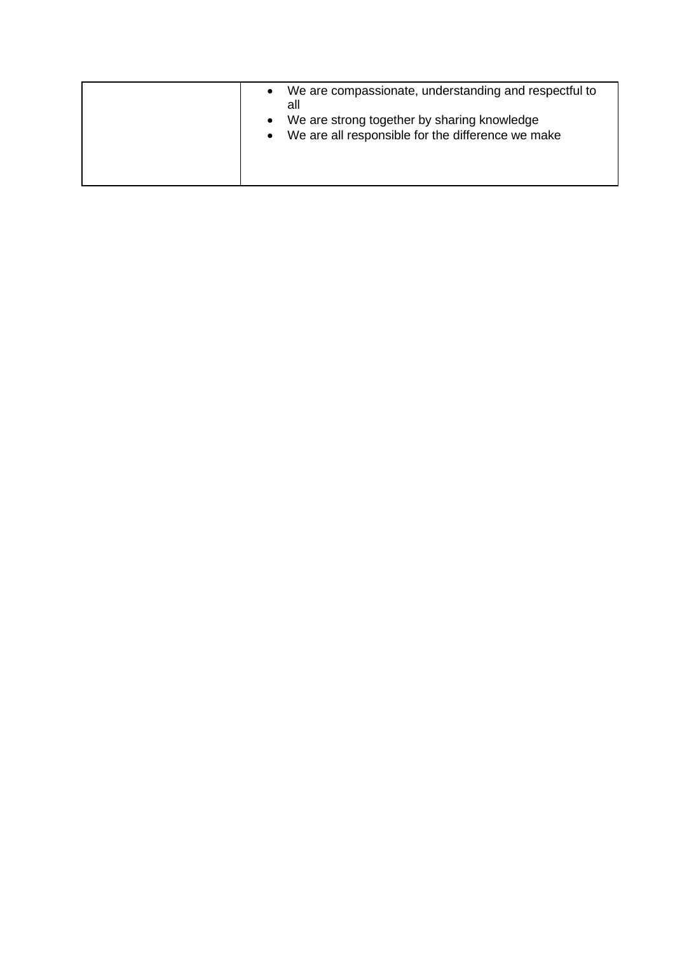| We are compassionate, understanding and respectful to<br>$\bullet$<br>all<br>We are strong together by sharing knowledge<br>$\bullet$<br>We are all responsible for the difference we make<br>$\bullet$ |
|---------------------------------------------------------------------------------------------------------------------------------------------------------------------------------------------------------|
|                                                                                                                                                                                                         |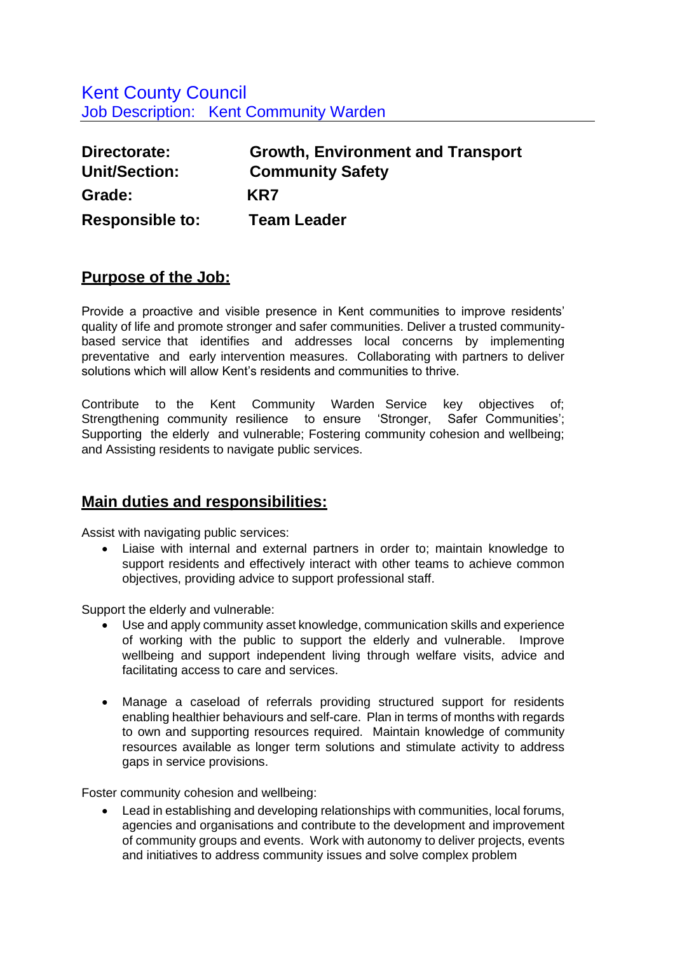| Directorate:           | <b>Growth, Environment and Transport</b> |
|------------------------|------------------------------------------|
| <b>Unit/Section:</b>   | <b>Community Safety</b>                  |
| Grade:                 | KR7                                      |
| <b>Responsible to:</b> | <b>Team Leader</b>                       |

### **Purpose of the Job:**

Provide a proactive and visible presence in Kent communities to improve residents' quality of life and promote stronger and safer communities. Deliver a trusted communitybased service that identifies and addresses local concerns by implementing preventative and early intervention measures. Collaborating with partners to deliver solutions which will allow Kent's residents and communities to thrive.

Contribute to the Kent Community Warden Service key objectives of; Strengthening community resilience to ensure 'Stronger, Safer Communities'; Supporting the elderly and vulnerable; Fostering community cohesion and wellbeing; and Assisting residents to navigate public services.

### **Main duties and responsibilities:**

Assist with navigating public services:

• Liaise with internal and external partners in order to; maintain knowledge to support residents and effectively interact with other teams to achieve common objectives, providing advice to support professional staff.

Support the elderly and vulnerable:

- Use and apply community asset knowledge, communication skills and experience of working with the public to support the elderly and vulnerable. Improve wellbeing and support independent living through welfare visits, advice and facilitating access to care and services.
- Manage a caseload of referrals providing structured support for residents enabling healthier behaviours and self-care. Plan in terms of months with regards to own and supporting resources required. Maintain knowledge of community resources available as longer term solutions and stimulate activity to address gaps in service provisions.

Foster community cohesion and wellbeing:

• Lead in establishing and developing relationships with communities, local forums, agencies and organisations and contribute to the development and improvement of community groups and events. Work with autonomy to deliver projects, events and initiatives to address community issues and solve complex problem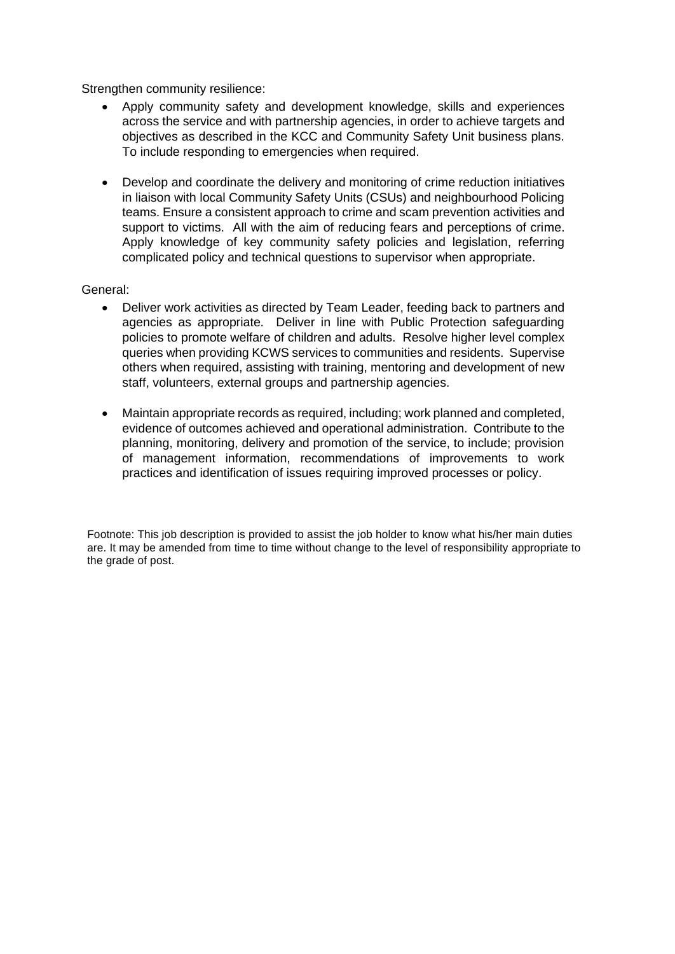Strengthen community resilience:

- Apply community safety and development knowledge, skills and experiences across the service and with partnership agencies, in order to achieve targets and objectives as described in the KCC and Community Safety Unit business plans. To include responding to emergencies when required.
- Develop and coordinate the delivery and monitoring of crime reduction initiatives in liaison with local Community Safety Units (CSUs) and neighbourhood Policing teams. Ensure a consistent approach to crime and scam prevention activities and support to victims. All with the aim of reducing fears and perceptions of crime. Apply knowledge of key community safety policies and legislation, referring complicated policy and technical questions to supervisor when appropriate.

#### General:

- Deliver work activities as directed by Team Leader, feeding back to partners and agencies as appropriate. Deliver in line with Public Protection safeguarding policies to promote welfare of children and adults. Resolve higher level complex queries when providing KCWS services to communities and residents. Supervise others when required, assisting with training, mentoring and development of new staff, volunteers, external groups and partnership agencies.
- Maintain appropriate records as required, including; work planned and completed, evidence of outcomes achieved and operational administration. Contribute to the planning, monitoring, delivery and promotion of the service, to include; provision of management information, recommendations of improvements to work practices and identification of issues requiring improved processes or policy.

Footnote: This job description is provided to assist the job holder to know what his/her main duties are. It may be amended from time to time without change to the level of responsibility appropriate to the grade of post.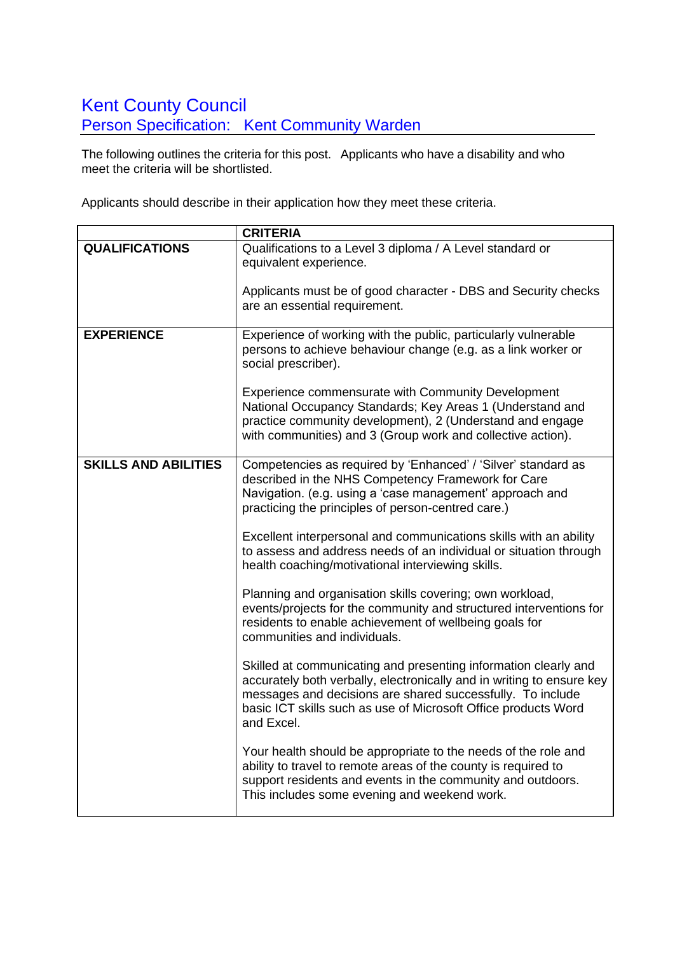# Kent County Council **Person Specification: Kent Community Warden**

The following outlines the criteria for this post. Applicants who have a disability and who meet the criteria will be shortlisted.

Applicants should describe in their application how they meet these criteria.

|                             | <b>CRITERIA</b>                                                                                                                                                                                                                                                                        |
|-----------------------------|----------------------------------------------------------------------------------------------------------------------------------------------------------------------------------------------------------------------------------------------------------------------------------------|
| <b>QUALIFICATIONS</b>       | Qualifications to a Level 3 diploma / A Level standard or<br>equivalent experience.                                                                                                                                                                                                    |
|                             |                                                                                                                                                                                                                                                                                        |
|                             | Applicants must be of good character - DBS and Security checks                                                                                                                                                                                                                         |
|                             | are an essential requirement.                                                                                                                                                                                                                                                          |
| <b>EXPERIENCE</b>           | Experience of working with the public, particularly vulnerable<br>persons to achieve behaviour change (e.g. as a link worker or<br>social prescriber).                                                                                                                                 |
|                             | <b>Experience commensurate with Community Development</b><br>National Occupancy Standards; Key Areas 1 (Understand and<br>practice community development), 2 (Understand and engage<br>with communities) and 3 (Group work and collective action).                                     |
| <b>SKILLS AND ABILITIES</b> | Competencies as required by 'Enhanced' / 'Silver' standard as<br>described in the NHS Competency Framework for Care<br>Navigation. (e.g. using a 'case management' approach and<br>practicing the principles of person-centred care.)                                                  |
|                             | Excellent interpersonal and communications skills with an ability<br>to assess and address needs of an individual or situation through<br>health coaching/motivational interviewing skills.                                                                                            |
|                             | Planning and organisation skills covering; own workload,<br>events/projects for the community and structured interventions for<br>residents to enable achievement of wellbeing goals for<br>communities and individuals.                                                               |
|                             | Skilled at communicating and presenting information clearly and<br>accurately both verbally, electronically and in writing to ensure key<br>messages and decisions are shared successfully. To include<br>basic ICT skills such as use of Microsoft Office products Word<br>and Excel. |
|                             | Your health should be appropriate to the needs of the role and<br>ability to travel to remote areas of the county is required to<br>support residents and events in the community and outdoors.<br>This includes some evening and weekend work.                                        |